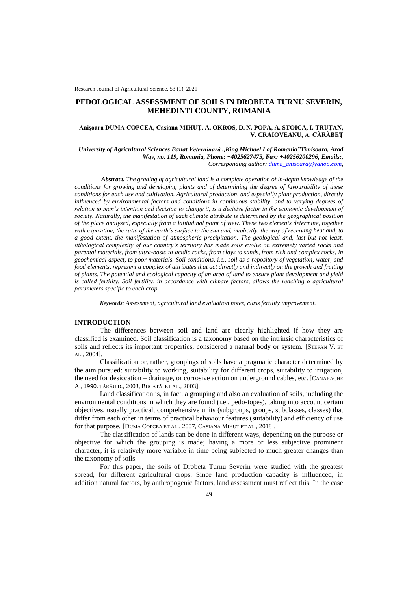# **PEDOLOGICAL ASSESSMENT OF SOILS IN DROBETA TURNU SEVERIN, MEHEDINTI COUNTY, ROMANIA**

## **Anișoara DUMA COPCEA, Casiana MIHUȚ, A. OKROS, D. N. POPA, A. STOICA, I. TRUȚAN, V. CRAIOVEANU, A. CĂRĂBEȚ**

*University of Agricultural Sciences Banat Veterninară ,,King Michael I of Romania"Timisoara, Arad Way, no. 119, Romania, Phone: +4025627475, Fax: +40256200296, Emails:, Corresponding author: [duma\\_anisoara@yahoo.com,](mailto:duma_anisoara@yahoo.com)*

*Abstract. The grading of agricultural land is a complete operation of in-depth knowledge of the conditions for growing and developing plants and of determining the degree of favourability of these conditions for each use and cultivation. Agricultural production, and especially plant production, directly influenced by environmental factors and conditions in continuous stability, and to varying degrees of relation to man's intention and decision to change it, is a decisive factor in the economic development of society. Naturally, the manifestation of each climate attribute is determined by the geographical position of the place analysed, especially from a latitudinal point of view. These two elements determine, together with exposition, the ratio of the earth's surface to the sun and, implicitly, the way of receiving heat and, to a good extent, the manifestation of atmospheric precipitation. The geological and, last but not least, lithological complexity of our country's territory has made soils evolve on extremely varied rocks and parental materials, from ultra-basic to acidic rocks, from clays to sands, from rich and complex rocks, in geochemical aspect, to poor materials. Soil conditions, i.e., soil as a repository of vegetation, water, and food elements, represent a complex of attributes that act directly and indirectly on the growth and fruiting of plants. The potential and ecological capacity of an area of land to ensure plant development and yield is called fertility. Soil fertility, in accordance with climate factors, allows the reaching o agricultural parameters specific to each crop.*

*Keywords: Assessment, agricultural land evaluation notes, class fertility improvement.*

## **INTRODUCTION**

The differences between soil and land are clearly highlighted if how they are classified is examined. Soil classification is a taxonomy based on the intrinsic characteristics of soils and reflects its important properties, considered a natural body or system. [STEFAN V. ET AL., 2004].

Classification or, rather, groupings of soils have a pragmatic character determined by the aim pursued: suitability to working, suitability for different crops, suitability to irrigation, the need for desiccation – drainage, or corrosive action on underground cables, etc. [CANARACHE A., 1990, ŢĂRĂU D., 2003, BUCATĂ ET AL., 2003].

Land classification is, in fact, a grouping and also an evaluation of soils, including the environmental conditions in which they are found (i.e., pedo-topes), taking into account certain objectives, usually practical, comprehensive units (subgroups, groups, subclasses, classes) that differ from each other in terms of practical behaviour features (suitability) and efficiency of use for that purpose. [DUMA COPCEA ET AL., 2007, CASIANA MIHUȚ ET AL., 2018].

The classification of lands can be done in different ways, depending on the purpose or objective for which the grouping is made; having a more or less subjective prominent character, it is relatively more variable in time being subjected to much greater changes than the taxonomy of soils.

For this paper, the soils of Drobeta Turnu Severin were studied with the greatest spread, for different agricultural crops. Since land production capacity is influenced, in addition natural factors, by anthropogenic factors, land assessment must reflect this. In the case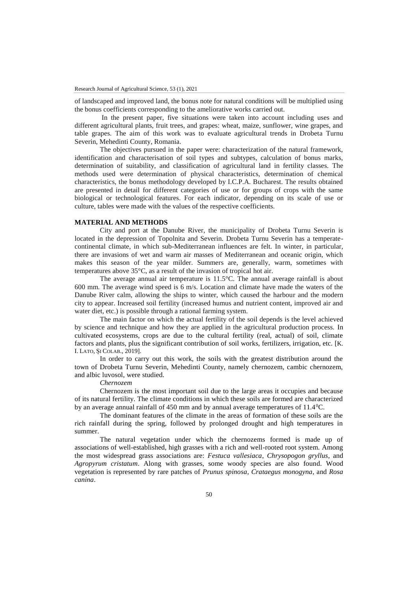of landscaped and improved land, the bonus note for natural conditions will be multiplied using the bonus coefficients corresponding to the ameliorative works carried out.

In the present paper, five situations were taken into account including uses and different agricultural plants, fruit trees, and grapes: wheat, maize, sunflower, wine grapes, and table grapes. The aim of this work was to evaluate agricultural trends in Drobeta Turnu Severin, Mehedinti County, Romania.

The objectives pursued in the paper were: characterization of the natural framework, identification and characterisation of soil types and subtypes, calculation of bonus marks, determination of suitability, and classification of agricultural land in fertility classes. The methods used were determination of physical characteristics, determination of chemical characteristics, the bonus methodology developed by I.C.P.A. Bucharest. The results obtained are presented in detail for different categories of use or for groups of crops with the same biological or technological features. For each indicator, depending on its scale of use or culture, tables were made with the values of the respective coefficients.

### **MATERIAL AND METHODS**

City and port at the Danube River, the municipality of Drobeta Turnu Severin is located in the depression of Topolnita and Severin. Drobeta Turnu Severin has a temperatecontinental climate, in which sub-Mediterranean influences are felt. In winter, in particular, there are invasions of wet and warm air masses of Mediterranean and oceanic origin, which makes this season of the year milder. Summers are, generally, warm, sometimes with temperatures above 35°C, as a result of the invasion of tropical hot air.

The average annual air temperature is 11.5°C. The annual average rainfall is about 600 mm. The average wind speed is 6 m/s. Location and climate have made the waters of the Danube River calm, allowing the ships to winter, which caused the harbour and the modern city to appear. Increased soil fertility (increased humus and nutrient content, improved air and water diet, etc.) is possible through a rational farming system.

The main factor on which the actual fertility of the soil depends is the level achieved by science and technique and how they are applied in the agricultural production process. In cultivated ecosystems, crops are due to the cultural fertility (real, actual) of soil, climate factors and plants, plus the significant contribution of soil works, fertilizers, irrigation, etc. [K. I. LATO, ȘI COLAB., 2019].

In order to carry out this work, the soils with the greatest distribution around the town of Drobeta Turnu Severin, Mehedinti County, namely chernozem, cambic chernozem, and albic luvosol, were studied.

## *Chernozem*

Chernozem is the most important soil due to the large areas it occupies and because of its natural fertility. The climate conditions in which these soils are formed are characterized by an average annual rainfall of 450 mm and by annual average temperatures of 11.4<sup>0</sup>C.

The dominant features of the climate in the areas of formation of these soils are the rich rainfall during the spring, followed by prolonged drought and high temperatures in summer.

The natural vegetation under which the chernozems formed is made up of associations of well-established, high grasses with a rich and well-rooted root system. Among the most widespread grass associations are: *Festuca vallesiaca*, *Chrysopogon gryllus*, and *Agropyrum cristatum*. Along with grasses, some woody species are also found. Wood vegetation is represented by rare patches of *Prunus spinosa*, *Crataegus monogyna*, and *Rosa canina*.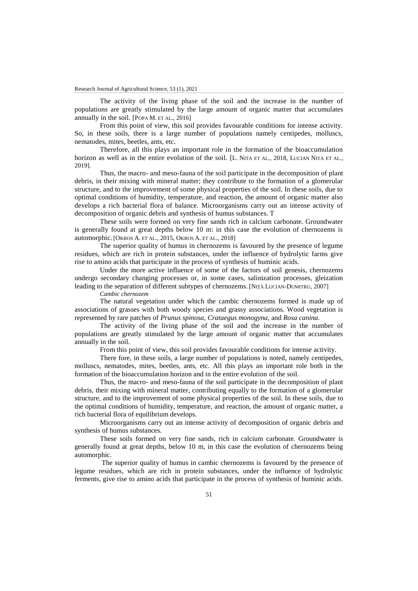The activity of the living phase of the soil and the increase in the number of populations are greatly stimulated by the large amount of organic matter that accumulates annually in the soil. [POPA M. ET AL., 2016]

From this point of view, this soil provides favourable conditions for intense activity. So, in these soils, there is a large number of populations namely centipedes, molluscs, nematodes, mites, beetles, ants, etc.

Therefore, all this plays an important role in the formation of the bioaccumulation horizon as well as in the entire evolution of the soil. [L. NITA ET AL., 2018, LUCIAN NITA ET AL., 2019].

Thus, the macro- and meso-fauna of the soil participate in the decomposition of plant debris, in their mixing with mineral matter; they contribute to the formation of a glomerular structure, and to the improvement of some physical properties of the soil. In these soils, due to optimal conditions of humidity, temperature, and reaction, the amount of organic matter also develops a rich bacterial flora of balance. Microorganisms carry out an intense activity of decomposition of organic debris and synthesis of humus substances. T

These soils were formed on very fine sands rich in calcium carbonate. Groundwater is generally found at great depths below 10 m: in this case the evolution of chernozems is automorphic. [OKROS A. ET AL., 2015, OKROS A. ET AL., 2018]

The superior quality of humus in chernozems is favoured by the presence of legume residues, which are rich in protein substances, under the influence of hydrolytic farms give rise to amino acids that participate in the process of synthesis of huminic acids.

Under the more active influence of some of the factors of soil genesis, chernozems undergo secondary changing processes or, in some cases, salinization processes, gleization leading to the separation of different subtypes of chernozems. [NIŢĂ LUCIAN-DUMITRU, 2007]

*Cambic chernozem* 

The natural vegetation under which the cambic chernozems formed is made up of associations of grasses with both woody species and grassy associations. Wood vegetation is represented by rare patches of *Prunus spinosa*, *Crataegus monogyna*, and *Rosa canina*.

The activity of the living phase of the soil and the increase in the number of populations are greatly stimulated by the large amount of organic matter that accumulates annually in the soil.

From this point of view, this soil provides favourable conditions for intense activity.

There fore, in these soils, a large number of populations is noted, namely centipedes, molluscs, nematodes, mites, beetles, ants, etc. All this plays an important role both in the formation of the bioaccumulation horizon and in the entire evolution of the soil.

Thus, the macro- and meso-fauna of the soil participate in the decomposition of plant debris, their mixing with mineral matter, contributing equally to the formation of a glomerular structure, and to the improvement of some physical properties of the soil. In these soils, due to the optimal conditions of humidity, temperature, and reaction, the amount of organic matter, a rich bacterial flora of equilibrium develops.

Microorganisms carry out an intense activity of decomposition of organic debris and synthesis of humus substances.

These soils formed on very fine sands, rich in calcium carbonate. Groundwater is generally found at great depths, below 10 m, in this case the evolution of chernozems being automorphic.

The superior quality of humus in cambic chernozems is favoured by the presence of legume residues, which are rich in protein substances, under the influence of hydrolytic ferments, give rise to amino acids that participate in the process of synthesis of huminic acids.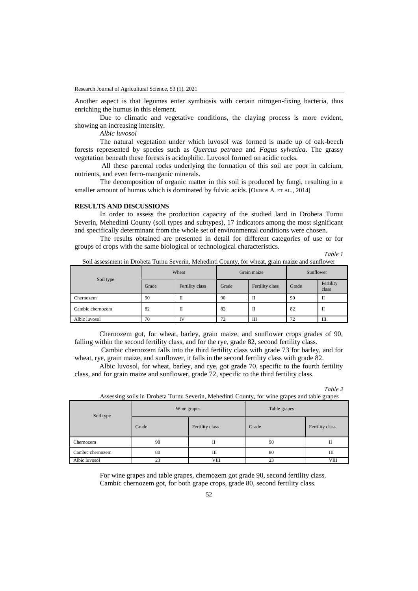Another aspect is that legumes enter symbiosis with certain nitrogen-fixing bacteria, thus enriching the humus in this element.

Due to climatic and vegetative conditions, the claying process is more evident, showing an increasing intensity.

*Albic luvosol* 

The natural vegetation under which luvosol was formed is made up of oak-beech forests represented by species such as *Quercus petraea* and *Fagus sylvatica*. The grassy vegetation beneath these forests is acidophilic. Luvosol formed on acidic rocks.

All these parental rocks underlying the formation of this soil are poor in calcium, nutrients, and even ferro-manganic minerals.

The decomposition of organic matter in this soil is produced by fungi, resulting in a smaller amount of humus which is dominated by fulvic acids. [OKROS A. ET AL., 2014]

## **RESULTS AND DISCUSSIONS**

In order to assess the production capacity of the studied land in Drobeta Turnu Severin, Mehedinti County (soil types and subtypes), 17 indicators among the most significant and specifically determinant from the whole set of environmental conditions were chosen.

The results obtained are presented in detail for different categories of use or for groups of crops with the same biological or technological characteristics.

### *Table 1*

| Soil type        | Wheat |                 | Grain maize |                 | Sunflower |                    |
|------------------|-------|-----------------|-------------|-----------------|-----------|--------------------|
|                  | Grade | Fertility class | Grade       | Fertility class | Grade     | Fertility<br>class |
| Chernozem        | 90    | п               | 90          | П               | 90        | П                  |
| Cambic chernozem | 82    | п               | 82          | П               | 82        | П                  |
| Albic luvosol    | 70    | īV              | 72          | Ш               | 72        | Ш                  |

Soil assessment in Drobeta Turnu Severin, Mehedinti County, for wheat, grain maize and sunflower

Chernozem got, for wheat, barley, grain maize, and sunflower crops grades of 90, falling within the second fertility class, and for the rye, grade 82, second fertility class.

Cambic chernozem falls into the third fertility class with grade 73 for barley, and for wheat, rye, grain maize, and sunflower, it falls in the second fertility class with grade 82.

Albic luvosol, for wheat, barley, and rye, got grade 70, specific to the fourth fertility class, and for grain maize and sunflower, grade 72, specific to the third fertility class.

| apu |  |
|-----|--|
|     |  |

| Assessing soils in Drobeta Turnu Severin, Mehedinti County, for wine grapes and table grapes |  |  |  |  |
|----------------------------------------------------------------------------------------------|--|--|--|--|
|                                                                                              |  |  |  |  |
|                                                                                              |  |  |  |  |
|                                                                                              |  |  |  |  |

| Soil type        |       | Wine grapes     | Table grapes |                 |  |
|------------------|-------|-----------------|--------------|-----------------|--|
|                  | Grade | Fertility class | Grade        | Fertility class |  |
| Chernozem        | 90    | п               | 90           | П               |  |
| Cambic chernozem | 80    | Ш               | 80           | Ш               |  |
| Albic luvosol    | 23    | <b>VIII</b>     | 23           | <b>VIII</b>     |  |

For wine grapes and table grapes, chernozem got grade 90, second fertility class. Cambic chernozem got, for both grape crops, grade 80, second fertility class.